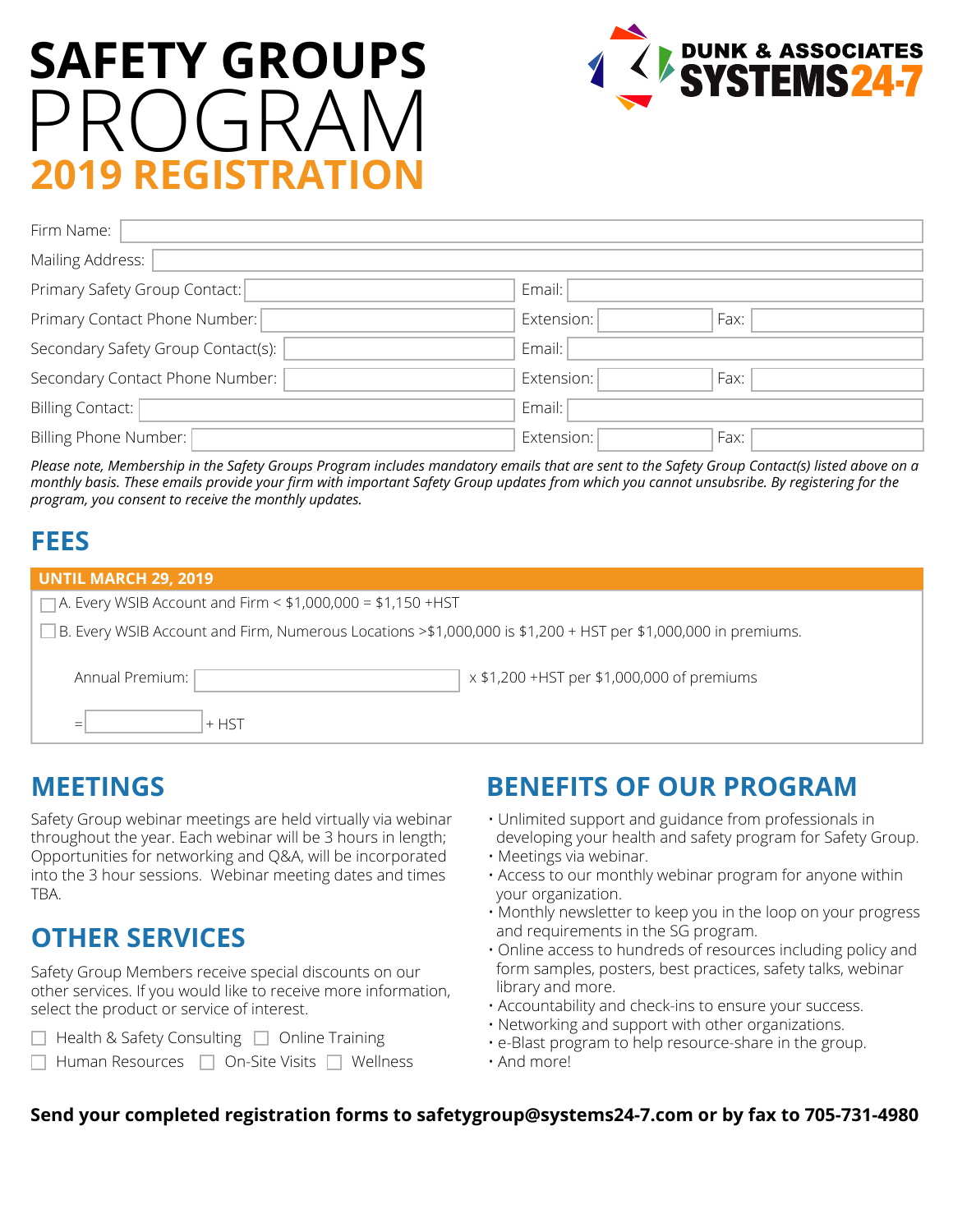# **SAFETY GROUPS** PROGRAM **2019 REGISTRATION**



| Firm Name:                         |                    |
|------------------------------------|--------------------|
| Mailing Address:                   |                    |
| Primary Safety Group Contact:      | Email:             |
| Primary Contact Phone Number:      | Extension:<br>Fax: |
| Secondary Safety Group Contact(s): | Email:             |
| Secondary Contact Phone Number:    | Extension:<br>Fax: |
| Billing Contact:                   | Email:             |
| Billing Phone Number:              | Extension:<br>Fax: |

*Please note, Membership in the Safety Groups Program includes mandatory emails that are sent to the Safety Group Contact(s) listed above on a monthly basis. These emails provide your firm with important Safety Group updates from which you cannot unsubsribe. By registering for the program, you consent to receive the monthly updates.*

### **FEES**

| <b>UNTIL MARCH 29, 2019</b>                                                                                   |  |  |  |  |  |
|---------------------------------------------------------------------------------------------------------------|--|--|--|--|--|
| $\Box$ A. Every WSIB Account and Firm < \$1,000,000 = \$1,150 +HST                                            |  |  |  |  |  |
| B. Every WSIB Account and Firm, Numerous Locations >\$1,000,000 is \$1,200 + HST per \$1,000,000 in premiums. |  |  |  |  |  |
| x \$1,200 +HST per \$1,000,000 of premiums<br>Annual Premium:                                                 |  |  |  |  |  |
| $+$ HST                                                                                                       |  |  |  |  |  |

Safety Group webinar meetings are held virtually via webinar throughout the year. Each webinar will be 3 hours in length; Opportunities for networking and Q&A, will be incorporated into the 3 hour sessions. Webinar meeting dates and times TBA.

## **OTHER SERVICES**

Safety Group Members receive special discounts on our other services. If you would like to receive more information, select the product or service of interest.

- Health & Safety Consulting □ Online Training
- Human Resources | On-Site Visits | Wellness

# **MEETINGS BENEFITS OF OUR PROGRAM**

- Unlimited support and guidance from professionals in developing your health and safety program for Safety Group.
- Meetings via webinar.
- Access to our monthly webinar program for anyone within your organization.
- Monthly newsletter to keep you in the loop on your progress and requirements in the SG program.
- Online access to hundreds of resources including policy and form samples, posters, best practices, safety talks, webinar library and more.
- Accountability and check-ins to ensure your success.
- Networking and support with other organizations.
- e-Blast program to help resource-share in the group.
- And more!

#### **Send your completed registration forms to safetygroup@systems24-7.com or by fax to 705-731-4980**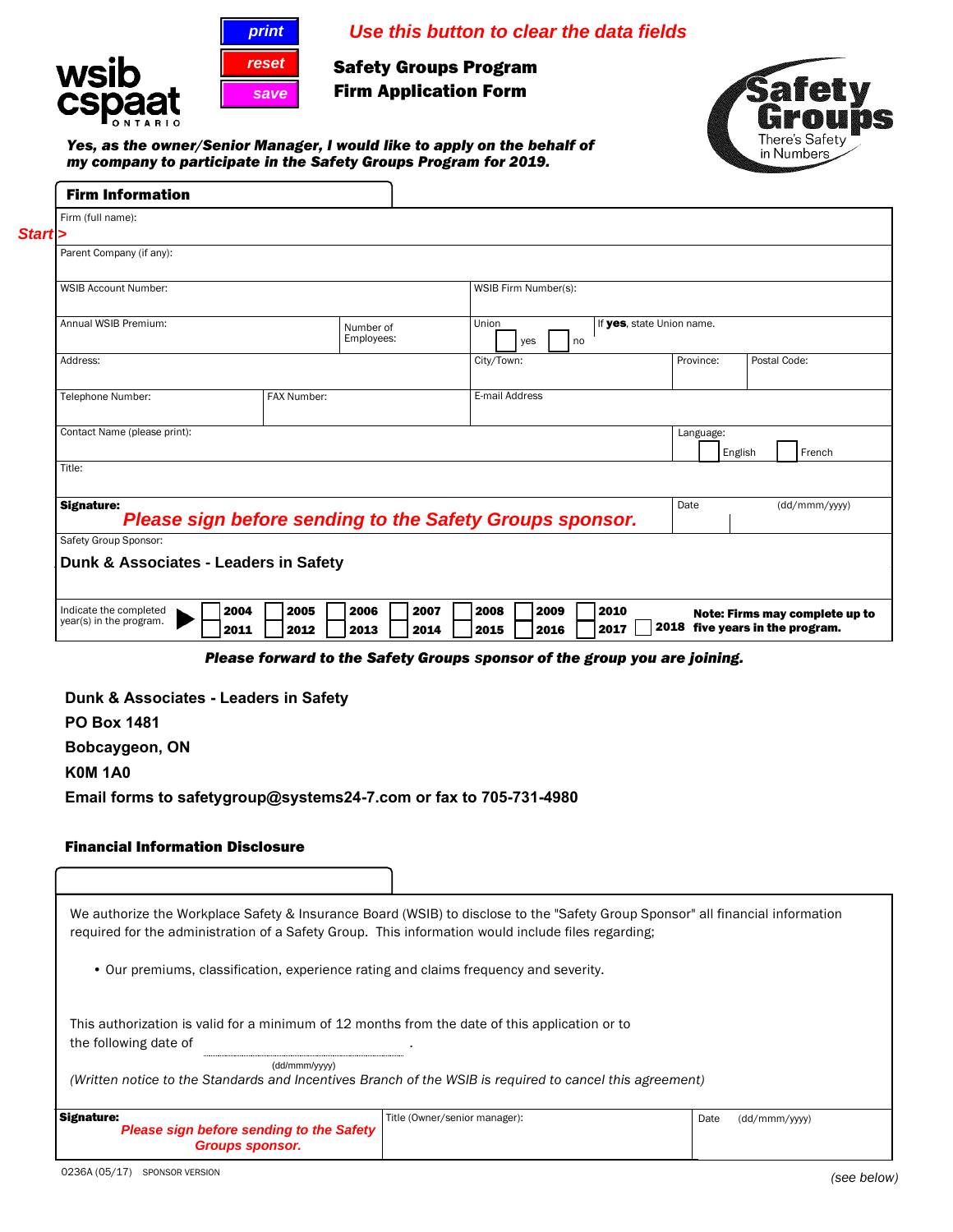



**Safety Groups Program Firm Application Form** 



*Yes, as the owner/Senior Manager, I would like to apply on the behalf of my company to participate in the Safety Groups Program for 2019.*

**reset**<br>save

| Firm (full name):                                                                                                                                                                                                                                              |                                                                           |              |                               |           |      |                           |                                 |         |                                |  |
|----------------------------------------------------------------------------------------------------------------------------------------------------------------------------------------------------------------------------------------------------------------|---------------------------------------------------------------------------|--------------|-------------------------------|-----------|------|---------------------------|---------------------------------|---------|--------------------------------|--|
| Start >                                                                                                                                                                                                                                                        |                                                                           |              |                               |           |      |                           |                                 |         |                                |  |
| Parent Company (if any):                                                                                                                                                                                                                                       |                                                                           |              |                               |           |      |                           |                                 |         |                                |  |
|                                                                                                                                                                                                                                                                |                                                                           |              |                               |           |      |                           |                                 |         |                                |  |
| <b>WSIB Account Number:</b>                                                                                                                                                                                                                                    |                                                                           |              | WSIB Firm Number(s):          |           |      |                           |                                 |         |                                |  |
|                                                                                                                                                                                                                                                                |                                                                           |              |                               |           |      |                           |                                 |         |                                |  |
| Annual WSIB Premium:                                                                                                                                                                                                                                           |                                                                           | Number of    | Union                         |           |      | If yes, state Union name. |                                 |         |                                |  |
|                                                                                                                                                                                                                                                                |                                                                           | Employees:   |                               | yes<br>no |      |                           |                                 |         |                                |  |
| Address:                                                                                                                                                                                                                                                       |                                                                           |              | City/Town:                    |           |      |                           | Province:                       |         | Postal Code:                   |  |
|                                                                                                                                                                                                                                                                |                                                                           |              |                               |           |      |                           |                                 |         |                                |  |
| Telephone Number:                                                                                                                                                                                                                                              | FAX Number:                                                               |              | E-mail Address                |           |      |                           |                                 |         |                                |  |
|                                                                                                                                                                                                                                                                |                                                                           |              |                               |           |      |                           |                                 |         |                                |  |
| Contact Name (please print):                                                                                                                                                                                                                                   |                                                                           |              |                               |           |      |                           | Language:                       |         |                                |  |
|                                                                                                                                                                                                                                                                |                                                                           |              |                               |           |      |                           |                                 | English | French                         |  |
| Title:                                                                                                                                                                                                                                                         |                                                                           |              |                               |           |      |                           |                                 |         |                                |  |
|                                                                                                                                                                                                                                                                |                                                                           |              |                               |           |      |                           |                                 |         |                                |  |
| <b>Signature:</b>                                                                                                                                                                                                                                              | Please sign before sending to the Safety Groups sponsor.                  |              |                               |           |      |                           | Date                            |         | (dd/mmm/yyyy)                  |  |
| Safety Group Sponsor:                                                                                                                                                                                                                                          |                                                                           |              |                               |           |      |                           |                                 |         |                                |  |
|                                                                                                                                                                                                                                                                |                                                                           |              |                               |           |      |                           |                                 |         |                                |  |
| Dunk & Associates - Leaders in Safety                                                                                                                                                                                                                          |                                                                           |              |                               |           |      |                           |                                 |         |                                |  |
|                                                                                                                                                                                                                                                                |                                                                           |              |                               |           |      |                           |                                 |         |                                |  |
| Indicate the completed                                                                                                                                                                                                                                         | 2004<br>2005                                                              | 2006<br>2007 | 2008                          | 2009      | 2010 |                           |                                 |         | Note: Firms may complete up to |  |
|                                                                                                                                                                                                                                                                |                                                                           |              |                               |           |      |                           |                                 |         |                                |  |
|                                                                                                                                                                                                                                                                | 2011<br>2012                                                              | 2013<br>2014 | 2015                          | 2016      | 2017 |                           | 2018 five years in the program. |         |                                |  |
|                                                                                                                                                                                                                                                                | Please forward to the Safety Groups sponsor of the group you are joining. |              |                               |           |      |                           |                                 |         |                                |  |
|                                                                                                                                                                                                                                                                |                                                                           |              |                               |           |      |                           |                                 |         |                                |  |
|                                                                                                                                                                                                                                                                |                                                                           |              |                               |           |      |                           |                                 |         |                                |  |
|                                                                                                                                                                                                                                                                |                                                                           |              |                               |           |      |                           |                                 |         |                                |  |
|                                                                                                                                                                                                                                                                |                                                                           |              |                               |           |      |                           |                                 |         |                                |  |
|                                                                                                                                                                                                                                                                |                                                                           |              |                               |           |      |                           |                                 |         |                                |  |
|                                                                                                                                                                                                                                                                |                                                                           |              |                               |           |      |                           |                                 |         |                                |  |
|                                                                                                                                                                                                                                                                |                                                                           |              |                               |           |      |                           |                                 |         |                                |  |
|                                                                                                                                                                                                                                                                |                                                                           |              |                               |           |      |                           |                                 |         |                                |  |
|                                                                                                                                                                                                                                                                |                                                                           |              |                               |           |      |                           |                                 |         |                                |  |
|                                                                                                                                                                                                                                                                |                                                                           |              |                               |           |      |                           |                                 |         |                                |  |
|                                                                                                                                                                                                                                                                |                                                                           |              |                               |           |      |                           |                                 |         |                                |  |
| We authorize the Workplace Safety & Insurance Board (WSIB) to disclose to the "Safety Group Sponsor" all financial information                                                                                                                                 |                                                                           |              |                               |           |      |                           |                                 |         |                                |  |
| required for the administration of a Safety Group. This information would include files regarding;                                                                                                                                                             |                                                                           |              |                               |           |      |                           |                                 |         |                                |  |
|                                                                                                                                                                                                                                                                |                                                                           |              |                               |           |      |                           |                                 |         |                                |  |
| • Our premiums, classification, experience rating and claims frequency and severity.                                                                                                                                                                           |                                                                           |              |                               |           |      |                           |                                 |         |                                |  |
|                                                                                                                                                                                                                                                                |                                                                           |              |                               |           |      |                           |                                 |         |                                |  |
|                                                                                                                                                                                                                                                                |                                                                           |              |                               |           |      |                           |                                 |         |                                |  |
| This authorization is valid for a minimum of 12 months from the date of this application or to                                                                                                                                                                 |                                                                           |              |                               |           |      |                           |                                 |         |                                |  |
| the following date of                                                                                                                                                                                                                                          |                                                                           |              |                               |           |      |                           |                                 |         |                                |  |
|                                                                                                                                                                                                                                                                |                                                                           |              |                               |           |      |                           |                                 |         |                                |  |
| (Written notice to the Standards and Incentives Branch of the WSIB is required to cancel this agreement)                                                                                                                                                       | (dd/mmm/yyyy)                                                             |              |                               |           |      |                           |                                 |         |                                |  |
|                                                                                                                                                                                                                                                                |                                                                           |              |                               |           |      |                           |                                 |         |                                |  |
| year(s) in the program.<br>Dunk & Associates - Leaders in Safety<br><b>PO Box 1481</b><br>Bobcaygeon, ON<br><b>K0M1A0</b><br>Email forms to safetygroup@systems24-7.com or fax to 705-731-4980<br><b>Financial Information Disclosure</b><br><b>Signature:</b> |                                                                           |              | Title (Owner/senior manager): |           |      |                           | Date                            |         | (dd/mmm/yyyy)                  |  |